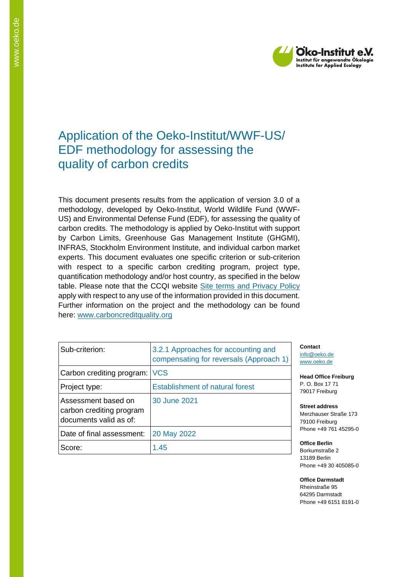

# Application of the Oeko-Institut/WWF-US/ EDF methodology for assessing the quality of carbon credits

This document presents results from the application of version 3.0 of a methodology, developed by Oeko-Institut, World Wildlife Fund (WWF-US) and Environmental Defense Fund (EDF), for assessing the quality of carbon credits. The methodology is applied by Oeko-Institut with support by Carbon Limits, Greenhouse Gas Management Institute (GHGMI), INFRAS, Stockholm Environment Institute, and individual carbon market experts. This document evaluates one specific criterion or sub-criterion with respect to a specific carbon crediting program, project type, quantification methodology and/or host country, as specified in the below table. Please note that the CCQI website [Site terms and Privacy Policy](https://carboncreditquality.org/terms.html) apply with respect to any use of the information provided in this document. Further information on the project and the methodology can be found here: [www.carboncreditquality.org](http://www.carboncreditquality.org/)

| Sub-criterion:                                                            | 3.2.1 Approaches for accounting and<br>compensating for reversals (Approach 1) |
|---------------------------------------------------------------------------|--------------------------------------------------------------------------------|
| Carbon crediting program:                                                 | <b>VCS</b>                                                                     |
| Project type:                                                             | <b>Establishment of natural forest</b>                                         |
| Assessment based on<br>carbon crediting program<br>documents valid as of: | 30 June 2021                                                                   |
| Date of final assessment:                                                 | 20 May 2022                                                                    |
| Score:                                                                    | 1.45                                                                           |

**Contact** [info@oeko.de](mailto:info@oeko.de) [www.oeko.de](http://www.oeko.de/)

**Head Office Freiburg** P. O. Box 17 71 79017 Freiburg

**Street address** Merzhauser Straße 173 79100 Freiburg Phone +49 761 45295-0

**Office Berlin** Borkumstraße 2 13189 Berlin Phone +49 30 405085-0

**Office Darmstadt** Rheinstraße 95 64295 Darmstadt Phone +49 6151 8191-0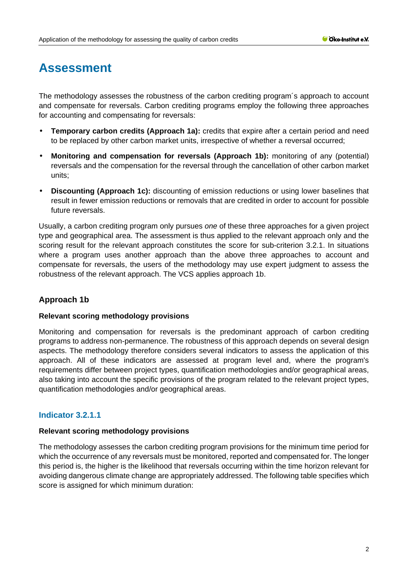# **Assessment**

The methodology assesses the robustness of the carbon crediting program´s approach to account and compensate for reversals. Carbon crediting programs employ the following three approaches for accounting and compensating for reversals:

- **Temporary carbon credits (Approach 1a):** credits that expire after a certain period and need to be replaced by other carbon market units, irrespective of whether a reversal occurred;
- **Monitoring and compensation for reversals (Approach 1b):** monitoring of any (potential) reversals and the compensation for the reversal through the cancellation of other carbon market units;
- **Discounting (Approach 1c):** discounting of emission reductions or using lower baselines that result in fewer emission reductions or removals that are credited in order to account for possible future reversals.

Usually, a carbon crediting program only pursues *one* of these three approaches for a given project type and geographical area. The assessment is thus applied to the relevant approach only and the scoring result for the relevant approach constitutes the score for sub-criterion 3.2.1. In situations where a program uses another approach than the above three approaches to account and compensate for reversals, the users of the methodology may use expert judgment to assess the robustness of the relevant approach. The VCS applies approach 1b.

# **Approach 1b**

## **Relevant scoring methodology provisions**

Monitoring and compensation for reversals is the predominant approach of carbon crediting programs to address non-permanence. The robustness of this approach depends on several design aspects. The methodology therefore considers several indicators to assess the application of this approach. All of these indicators are assessed at program level and, where the program's requirements differ between project types, quantification methodologies and/or geographical areas, also taking into account the specific provisions of the program related to the relevant project types, quantification methodologies and/or geographical areas.

# **Indicator 3.2.1.1**

## **Relevant scoring methodology provisions**

The methodology assesses the carbon crediting program provisions for the minimum time period for which the occurrence of any reversals must be monitored, reported and compensated for. The longer this period is, the higher is the likelihood that reversals occurring within the time horizon relevant for avoiding dangerous climate change are appropriately addressed. The following table specifies which score is assigned for which minimum duration: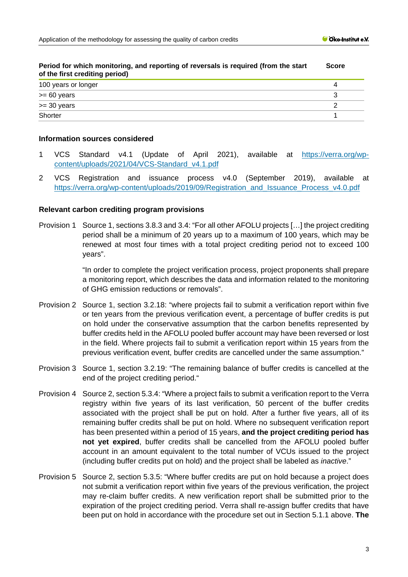| Period for which monitoring, and reporting of reversals is required (from the start<br>of the first crediting period) |  |
|-----------------------------------------------------------------------------------------------------------------------|--|
| 100 years or longer                                                                                                   |  |
| $>= 60$ years                                                                                                         |  |
| $>=$ 30 years                                                                                                         |  |
| Shorter                                                                                                               |  |

#### **Period for which monitoring, and reporting of reversals is required (from the start Score**

#### **Information sources considered**

- 1 VCS Standard v4.1 (Update of April 2021), available at [https://verra.org/wp](https://verra.org/wp-content/uploads/2021/04/VCS-Standard_v4.1.pdf)[content/uploads/2021/04/VCS-Standard\\_v4.1.pdf](https://verra.org/wp-content/uploads/2021/04/VCS-Standard_v4.1.pdf)
- 2 VCS Registration and issuance process v4.0 (September 2019), available at [https://verra.org/wp-content/uploads/2019/09/Registration\\_and\\_Issuance\\_Process\\_v4.0.pdf](https://verra.org/wp-content/uploads/2019/09/Registration_and_Issuance_Process_v4.0.pdf)

## **Relevant carbon crediting program provisions**

Provision 1 Source 1, sections 3.8.3 and 3.4: "For all other AFOLU projects […] the project crediting period shall be a minimum of 20 years up to a maximum of 100 years, which may be renewed at most four times with a total project crediting period not to exceed 100 years".

> "In order to complete the project verification process, project proponents shall prepare a monitoring report, which describes the data and information related to the monitoring of GHG emission reductions or removals".

- Provision 2 Source 1, section 3.2.18: "where projects fail to submit a verification report within five or ten years from the previous verification event, a percentage of buffer credits is put on hold under the conservative assumption that the carbon benefits represented by buffer credits held in the AFOLU pooled buffer account may have been reversed or lost in the field. Where projects fail to submit a verification report within 15 years from the previous verification event, buffer credits are cancelled under the same assumption."
- Provision 3 Source 1, section 3.2.19: "The remaining balance of buffer credits is cancelled at the end of the project crediting period."
- Provision 4 Source 2, section 5.3.4: "Where a project fails to submit a verification report to the Verra registry within five years of its last verification, 50 percent of the buffer credits associated with the project shall be put on hold. After a further five years, all of its remaining buffer credits shall be put on hold. Where no subsequent verification report has been presented within a period of 15 years, **and the project crediting period has not yet expired**, buffer credits shall be cancelled from the AFOLU pooled buffer account in an amount equivalent to the total number of VCUs issued to the project (including buffer credits put on hold) and the project shall be labeled as *inactive*."
- Provision 5 Source 2, section 5.3.5: "Where buffer credits are put on hold because a project does not submit a verification report within five years of the previous verification, the project may re-claim buffer credits. A new verification report shall be submitted prior to the expiration of the project crediting period. Verra shall re-assign buffer credits that have been put on hold in accordance with the procedure set out in Section 5.1.1 above. **The**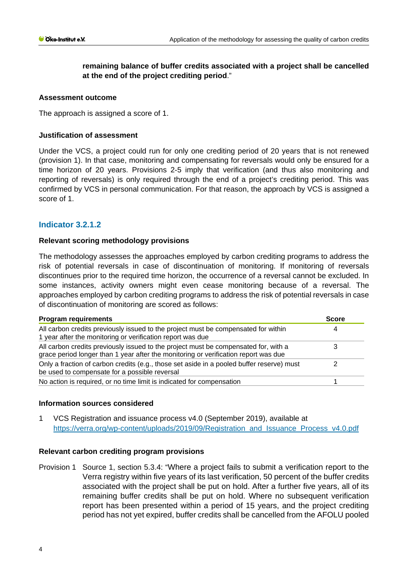# **remaining balance of buffer credits associated with a project shall be cancelled at the end of the project crediting period**."

## **Assessment outcome**

The approach is assigned a score of 1.

#### **Justification of assessment**

Under the VCS, a project could run for only one crediting period of 20 years that is not renewed (provision 1). In that case, monitoring and compensating for reversals would only be ensured for a time horizon of 20 years. Provisions 2-5 imply that verification (and thus also monitoring and reporting of reversals) is only required through the end of a project's crediting period. This was confirmed by VCS in personal communication. For that reason, the approach by VCS is assigned a score of 1.

## **Indicator 3.2.1.2**

## **Relevant scoring methodology provisions**

The methodology assesses the approaches employed by carbon crediting programs to address the risk of potential reversals in case of discontinuation of monitoring. If monitoring of reversals discontinues prior to the required time horizon, the occurrence of a reversal cannot be excluded. In some instances, activity owners might even cease monitoring because of a reversal. The approaches employed by carbon crediting programs to address the risk of potential reversals in case of discontinuation of monitoring are scored as follows:

| <b>Program requirements</b>                                                                                                                                                | <b>Score</b> |  |
|----------------------------------------------------------------------------------------------------------------------------------------------------------------------------|--------------|--|
| All carbon credits previously issued to the project must be compensated for within<br>1 year after the monitoring or verification report was due                           |              |  |
| All carbon credits previously issued to the project must be compensated for, with a<br>grace period longer than 1 year after the monitoring or verification report was due |              |  |
| Only a fraction of carbon credits (e.g., those set aside in a pooled buffer reserve) must<br>be used to compensate for a possible reversal                                 |              |  |
| No action is required, or no time limit is indicated for compensation                                                                                                      |              |  |

## **Information sources considered**

1 VCS Registration and issuance process v4.0 (September 2019), available at [https://verra.org/wp-content/uploads/2019/09/Registration\\_and\\_Issuance\\_Process\\_v4.0.pdf](https://verra.org/wp-content/uploads/2019/09/Registration_and_Issuance_Process_v4.0.pdf)

#### **Relevant carbon crediting program provisions**

Provision 1 Source 1, section 5.3.4: "Where a project fails to submit a verification report to the Verra registry within five years of its last verification, 50 percent of the buffer credits associated with the project shall be put on hold. After a further five years, all of its remaining buffer credits shall be put on hold. Where no subsequent verification report has been presented within a period of 15 years, and the project crediting period has not yet expired, buffer credits shall be cancelled from the AFOLU pooled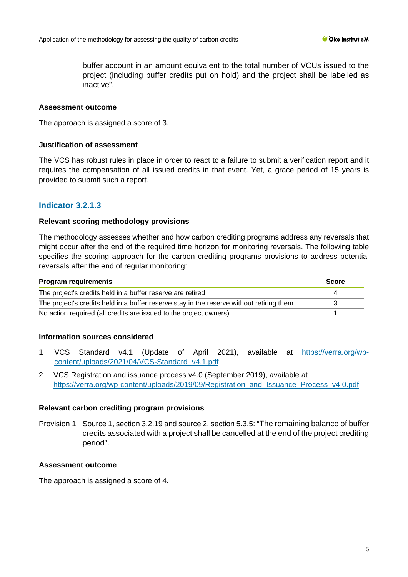buffer account in an amount equivalent to the total number of VCUs issued to the project (including buffer credits put on hold) and the project shall be labelled as inactive".

#### **Assessment outcome**

The approach is assigned a score of 3.

#### **Justification of assessment**

The VCS has robust rules in place in order to react to a failure to submit a verification report and it requires the compensation of all issued credits in that event. Yet, a grace period of 15 years is provided to submit such a report.

## **Indicator 3.2.1.3**

#### **Relevant scoring methodology provisions**

The methodology assesses whether and how carbon crediting programs address any reversals that might occur after the end of the required time horizon for monitoring reversals. The following table specifies the scoring approach for the carbon crediting programs provisions to address potential reversals after the end of regular monitoring:

| <b>Program requirements</b>                                                              | <b>Score</b> |
|------------------------------------------------------------------------------------------|--------------|
| The project's credits held in a buffer reserve are retired                               |              |
| The project's credits held in a buffer reserve stay in the reserve without retiring them |              |
| No action required (all credits are issued to the project owners)                        |              |

#### **Information sources considered**

- 1 VCS Standard v4.1 (Update of April 2021), available at [https://verra.org/wp](https://verra.org/wp-content/uploads/2021/04/VCS-Standard_v4.1.pdf)[content/uploads/2021/04/VCS-Standard\\_v4.1.pdf](https://verra.org/wp-content/uploads/2021/04/VCS-Standard_v4.1.pdf)
- 2 VCS Registration and issuance process v4.0 (September 2019), available at [https://verra.org/wp-content/uploads/2019/09/Registration\\_and\\_Issuance\\_Process\\_v4.0.pdf](https://verra.org/wp-content/uploads/2019/09/Registration_and_Issuance_Process_v4.0.pdf)

#### **Relevant carbon crediting program provisions**

Provision 1 Source 1, section 3.2.19 and source 2, section 5.3.5: "The remaining balance of buffer credits associated with a project shall be cancelled at the end of the project crediting period".

#### **Assessment outcome**

The approach is assigned a score of 4.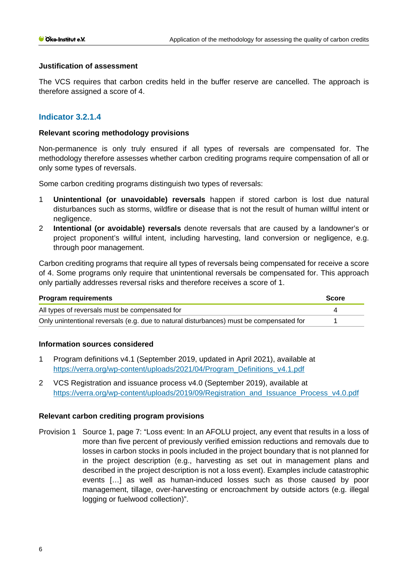## **Justification of assessment**

The VCS requires that carbon credits held in the buffer reserve are cancelled. The approach is therefore assigned a score of 4.

## **Indicator 3.2.1.4**

## **Relevant scoring methodology provisions**

Non-permanence is only truly ensured if all types of reversals are compensated for. The methodology therefore assesses whether carbon crediting programs require compensation of all or only some types of reversals.

Some carbon crediting programs distinguish two types of reversals:

- 1 **Unintentional (or unavoidable) reversals** happen if stored carbon is lost due natural disturbances such as storms, wildfire or disease that is not the result of human willful intent or negligence.
- 2 **Intentional (or avoidable) reversals** denote reversals that are caused by a landowner's or project proponent's willful intent, including harvesting, land conversion or negligence, e.g. through poor management.

Carbon crediting programs that require all types of reversals being compensated for receive a score of 4. Some programs only require that unintentional reversals be compensated for. This approach only partially addresses reversal risks and therefore receives a score of 1.

| <b>Program requirements</b>                                                             | <b>Score</b> |
|-----------------------------------------------------------------------------------------|--------------|
| All types of reversals must be compensated for                                          |              |
| Only unintentional reversals (e.g. due to natural disturbances) must be compensated for |              |

## **Information sources considered**

- 1 Program definitions v4.1 (September 2019, updated in April 2021), available at [https://verra.org/wp-content/uploads/2021/04/Program\\_Definitions\\_v4.1.pdf](https://verra.org/wp-content/uploads/2021/04/Program_Definitions_v4.1.pdf)
- 2 VCS Registration and issuance process v4.0 (September 2019), available at [https://verra.org/wp-content/uploads/2019/09/Registration\\_and\\_Issuance\\_Process\\_v4.0.pdf](https://verra.org/wp-content/uploads/2019/09/Registration_and_Issuance_Process_v4.0.pdf)

## **Relevant carbon crediting program provisions**

Provision 1 Source 1, page 7: "Loss event: In an AFOLU project, any event that results in a loss of more than five percent of previously verified emission reductions and removals due to losses in carbon stocks in pools included in the project boundary that is not planned for in the project description (e.g., harvesting as set out in management plans and described in the project description is not a loss event). Examples include catastrophic events […] as well as human-induced losses such as those caused by poor management, tillage, over-harvesting or encroachment by outside actors (e.g. illegal logging or fuelwood collection)".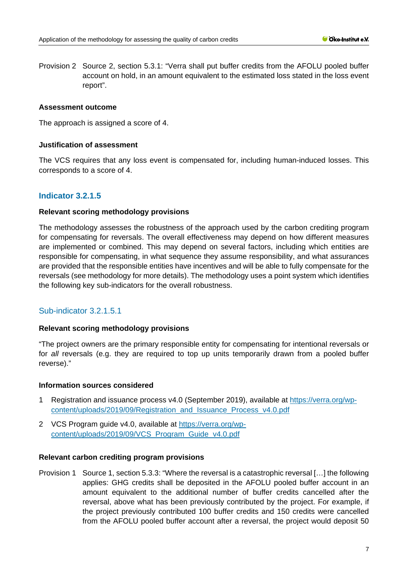Provision 2 Source 2, section 5.3.1: "Verra shall put buffer credits from the AFOLU pooled buffer account on hold, in an amount equivalent to the estimated loss stated in the loss event report".

#### **Assessment outcome**

The approach is assigned a score of 4.

#### **Justification of assessment**

The VCS requires that any loss event is compensated for, including human-induced losses. This corresponds to a score of 4.

## **Indicator 3.2.1.5**

## **Relevant scoring methodology provisions**

The methodology assesses the robustness of the approach used by the carbon crediting program for compensating for reversals. The overall effectiveness may depend on how different measures are implemented or combined. This may depend on several factors, including which entities are responsible for compensating, in what sequence they assume responsibility, and what assurances are provided that the responsible entities have incentives and will be able to fully compensate for the reversals (see methodology for more details). The methodology uses a point system which identifies the following key sub-indicators for the overall robustness.

## Sub-indicator 3.2.1.5.1

#### **Relevant scoring methodology provisions**

"The project owners are the primary responsible entity for compensating for intentional reversals or for *all* reversals (e.g. they are required to top up units temporarily drawn from a pooled buffer reverse)."

#### **Information sources considered**

- 1 Registration and issuance process v4.0 (September 2019), available at [https://verra.org/wp](https://verra.org/wp-content/uploads/2019/09/Registration_and_Issuance_Process_v4.0.pdf)[content/uploads/2019/09/Registration\\_and\\_Issuance\\_Process\\_v4.0.pdf](https://verra.org/wp-content/uploads/2019/09/Registration_and_Issuance_Process_v4.0.pdf)
- 2 VCS Program guide v4.0, available at [https://verra.org/wp](https://verra.org/wp-content/uploads/2019/09/VCS_Program_Guide_v4.0.pdf)[content/uploads/2019/09/VCS\\_Program\\_Guide\\_v4.0.pdf](https://verra.org/wp-content/uploads/2019/09/VCS_Program_Guide_v4.0.pdf)

#### **Relevant carbon crediting program provisions**

Provision 1 Source 1, section 5.3.3: "Where the reversal is a catastrophic reversal […] the following applies: GHG credits shall be deposited in the AFOLU pooled buffer account in an amount equivalent to the additional number of buffer credits cancelled after the reversal, above what has been previously contributed by the project. For example, if the project previously contributed 100 buffer credits and 150 credits were cancelled from the AFOLU pooled buffer account after a reversal, the project would deposit 50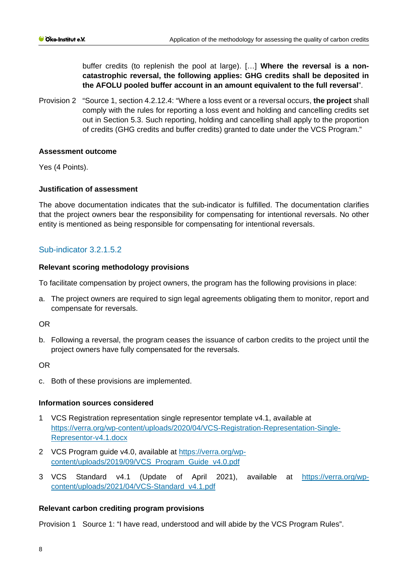buffer credits (to replenish the pool at large). […] **Where the reversal is a noncatastrophic reversal, the following applies: GHG credits shall be deposited in the AFOLU pooled buffer account in an amount equivalent to the full reversal**".

Provision 2 "Source 1, section 4.2.12.4: "Where a loss event or a reversal occurs, **the project** shall comply with the rules for reporting a loss event and holding and cancelling credits set out in Section 5.3. Such reporting, holding and cancelling shall apply to the proportion of credits (GHG credits and buffer credits) granted to date under the VCS Program."

#### **Assessment outcome**

Yes (4 Points).

#### **Justification of assessment**

The above documentation indicates that the sub-indicator is fulfilled. The documentation clarifies that the project owners bear the responsibility for compensating for intentional reversals. No other entity is mentioned as being responsible for compensating for intentional reversals.

## Sub-indicator 3.2.1.5.2

#### **Relevant scoring methodology provisions**

To facilitate compensation by project owners, the program has the following provisions in place:

a. The project owners are required to sign legal agreements obligating them to monitor, report and compensate for reversals.

OR

b. Following a reversal, the program ceases the issuance of carbon credits to the project until the project owners have fully compensated for the reversals.

OR

c. Both of these provisions are implemented.

#### **Information sources considered**

- 1 VCS Registration representation single representor template v4.1, available at [https://verra.org/wp-content/uploads/2020/04/VCS-Registration-Representation-Single-](https://verra.org/wp-content/uploads/2020/04/VCS-Registration-Representation-Single-Representor-v4.1.docx)[Representor-v4.1.docx](https://verra.org/wp-content/uploads/2020/04/VCS-Registration-Representation-Single-Representor-v4.1.docx)
- 2 VCS Program guide v4.0, available at [https://verra.org/wp](https://verra.org/wp-content/uploads/2019/09/VCS_Program_Guide_v4.0.pdf)[content/uploads/2019/09/VCS\\_Program\\_Guide\\_v4.0.pdf](https://verra.org/wp-content/uploads/2019/09/VCS_Program_Guide_v4.0.pdf)
- 3 VCS Standard v4.1 (Update of April 2021), available at [https://verra.org/wp](https://verra.org/wp-content/uploads/2021/04/VCS-Standard_v4.1.pdf)[content/uploads/2021/04/VCS-Standard\\_v4.1.pdf](https://verra.org/wp-content/uploads/2021/04/VCS-Standard_v4.1.pdf)

#### **Relevant carbon crediting program provisions**

Provision 1 Source 1: "I have read, understood and will abide by the VCS Program Rules".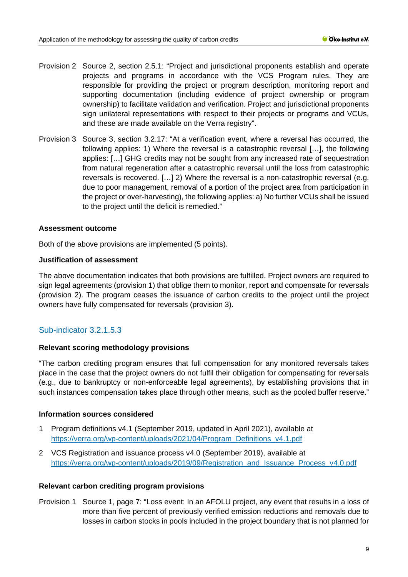- Provision 2 Source 2, section 2.5.1: "Project and jurisdictional proponents establish and operate projects and programs in accordance with the VCS Program rules. They are responsible for providing the project or program description, monitoring report and supporting documentation (including evidence of project ownership or program ownership) to facilitate validation and verification. Project and jurisdictional proponents sign unilateral representations with respect to their projects or programs and VCUs, and these are made available on the Verra registry".
- Provision 3 Source 3, section 3.2.17: "At a verification event, where a reversal has occurred, the following applies: 1) Where the reversal is a catastrophic reversal […], the following applies: […] GHG credits may not be sought from any increased rate of sequestration from natural regeneration after a catastrophic reversal until the loss from catastrophic reversals is recovered. […] 2) Where the reversal is a non-catastrophic reversal (e.g. due to poor management, removal of a portion of the project area from participation in the project or over-harvesting), the following applies: a) No further VCUs shall be issued to the project until the deficit is remedied."

## **Assessment outcome**

Both of the above provisions are implemented (5 points).

## **Justification of assessment**

The above documentation indicates that both provisions are fulfilled. Project owners are required to sign legal agreements (provision 1) that oblige them to monitor, report and compensate for reversals (provision 2). The program ceases the issuance of carbon credits to the project until the project owners have fully compensated for reversals (provision 3).

# Sub-indicator 3.2.1.5.3

## **Relevant scoring methodology provisions**

"The carbon crediting program ensures that full compensation for any monitored reversals takes place in the case that the project owners do not fulfil their obligation for compensating for reversals (e.g., due to bankruptcy or non-enforceable legal agreements), by establishing provisions that in such instances compensation takes place through other means, such as the pooled buffer reserve."

#### **Information sources considered**

- 1 Program definitions v4.1 (September 2019, updated in April 2021), available at [https://verra.org/wp-content/uploads/2021/04/Program\\_Definitions\\_v4.1.pdf](https://verra.org/wp-content/uploads/2021/04/Program_Definitions_v4.1.pdf)
- 2 VCS Registration and issuance process v4.0 (September 2019), available at [https://verra.org/wp-content/uploads/2019/09/Registration\\_and\\_Issuance\\_Process\\_v4.0.pdf](https://verra.org/wp-content/uploads/2019/09/Registration_and_Issuance_Process_v4.0.pdf)

#### **Relevant carbon crediting program provisions**

Provision 1 Source 1, page 7: "Loss event: In an AFOLU project, any event that results in a loss of more than five percent of previously verified emission reductions and removals due to losses in carbon stocks in pools included in the project boundary that is not planned for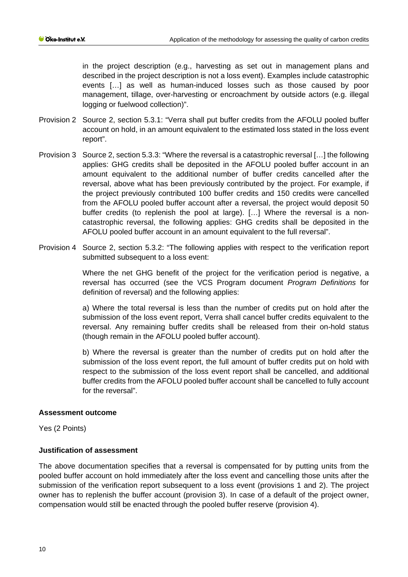in the project description (e.g., harvesting as set out in management plans and described in the project description is not a loss event). Examples include catastrophic events […] as well as human-induced losses such as those caused by poor management, tillage, over-harvesting or encroachment by outside actors (e.g. illegal logging or fuelwood collection)".

- Provision 2 Source 2, section 5.3.1: "Verra shall put buffer credits from the AFOLU pooled buffer account on hold, in an amount equivalent to the estimated loss stated in the loss event report".
- Provision 3 Source 2, section 5.3.3: "Where the reversal is a catastrophic reversal […] the following applies: GHG credits shall be deposited in the AFOLU pooled buffer account in an amount equivalent to the additional number of buffer credits cancelled after the reversal, above what has been previously contributed by the project. For example, if the project previously contributed 100 buffer credits and 150 credits were cancelled from the AFOLU pooled buffer account after a reversal, the project would deposit 50 buffer credits (to replenish the pool at large). […] Where the reversal is a noncatastrophic reversal, the following applies: GHG credits shall be deposited in the AFOLU pooled buffer account in an amount equivalent to the full reversal".
- Provision 4 Source 2, section 5.3.2: "The following applies with respect to the verification report submitted subsequent to a loss event:

Where the net GHG benefit of the project for the verification period is negative, a reversal has occurred (see the VCS Program document *Program Definitions* for definition of reversal) and the following applies:

a) Where the total reversal is less than the number of credits put on hold after the submission of the loss event report, Verra shall cancel buffer credits equivalent to the reversal. Any remaining buffer credits shall be released from their on-hold status (though remain in the AFOLU pooled buffer account).

b) Where the reversal is greater than the number of credits put on hold after the submission of the loss event report, the full amount of buffer credits put on hold with respect to the submission of the loss event report shall be cancelled, and additional buffer credits from the AFOLU pooled buffer account shall be cancelled to fully account for the reversal".

## **Assessment outcome**

Yes (2 Points)

## **Justification of assessment**

The above documentation specifies that a reversal is compensated for by putting units from the pooled buffer account on hold immediately after the loss event and cancelling those units after the submission of the verification report subsequent to a loss event (provisions 1 and 2). The project owner has to replenish the buffer account (provision 3). In case of a default of the project owner, compensation would still be enacted through the pooled buffer reserve (provision 4).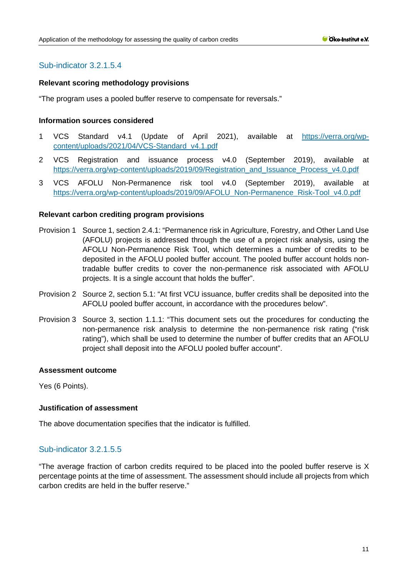# Sub-indicator 3.2.1.5.4

## **Relevant scoring methodology provisions**

"The program uses a pooled buffer reserve to compensate for reversals."

## **Information sources considered**

- 1 VCS Standard v4.1 (Update of April 2021), available at [https://verra.org/wp](https://verra.org/wp-content/uploads/2021/04/VCS-Standard_v4.1.pdf)[content/uploads/2021/04/VCS-Standard\\_v4.1.pdf](https://verra.org/wp-content/uploads/2021/04/VCS-Standard_v4.1.pdf)
- 2 VCS Registration and issuance process v4.0 (September 2019), available at [https://verra.org/wp-content/uploads/2019/09/Registration\\_and\\_Issuance\\_Process\\_v4.0.pdf](https://verra.org/wp-content/uploads/2019/09/Registration_and_Issuance_Process_v4.0.pdf)
- 3 VCS AFOLU Non-Permanence risk tool v4.0 (September 2019), available at [https://verra.org/wp-content/uploads/2019/09/AFOLU\\_Non-Permanence\\_Risk-Tool\\_v4.0.pdf](https://verra.org/wp-content/uploads/2019/09/AFOLU_Non-Permanence_Risk-Tool_v4.0.pdf)

## **Relevant carbon crediting program provisions**

- Provision 1 Source 1, section 2.4.1: "Permanence risk in Agriculture, Forestry, and Other Land Use (AFOLU) projects is addressed through the use of a project risk analysis, using the AFOLU Non-Permanence Risk Tool, which determines a number of credits to be deposited in the AFOLU pooled buffer account. The pooled buffer account holds nontradable buffer credits to cover the non-permanence risk associated with AFOLU projects. It is a single account that holds the buffer".
- Provision 2 Source 2, section 5.1: "At first VCU issuance, buffer credits shall be deposited into the AFOLU pooled buffer account, in accordance with the procedures below".
- Provision 3 Source 3, section 1.1.1: "This document sets out the procedures for conducting the non-permanence risk analysis to determine the non-permanence risk rating ("risk rating"), which shall be used to determine the number of buffer credits that an AFOLU project shall deposit into the AFOLU pooled buffer account".

#### **Assessment outcome**

Yes (6 Points).

## **Justification of assessment**

The above documentation specifies that the indicator is fulfilled.

## Sub-indicator 3.2.1.5.5

"The average fraction of carbon credits required to be placed into the pooled buffer reserve is X percentage points at the time of assessment. The assessment should include all projects from which carbon credits are held in the buffer reserve."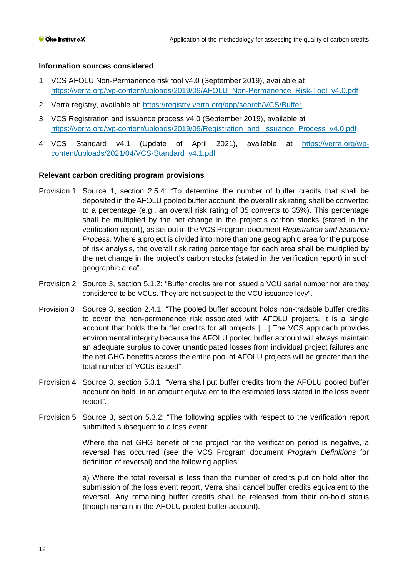## **Information sources considered**

- 1 VCS AFOLU Non-Permanence risk tool v4.0 (September 2019), available at [https://verra.org/wp-content/uploads/2019/09/AFOLU\\_Non-Permanence\\_Risk-Tool\\_v4.0.pdf](https://verra.org/wp-content/uploads/2019/09/AFOLU_Non-Permanence_Risk-Tool_v4.0.pdf)
- 2 Verra registry, available at:<https://registry.verra.org/app/search/VCS/Buffer>
- 3 VCS Registration and issuance process v4.0 (September 2019), available at [https://verra.org/wp-content/uploads/2019/09/Registration\\_and\\_Issuance\\_Process\\_v4.0.pdf](https://verra.org/wp-content/uploads/2019/09/Registration_and_Issuance_Process_v4.0.pdf)
- 4 VCS Standard v4.1 (Update of April 2021), available at [https://verra.org/wp](https://verra.org/wp-content/uploads/2021/04/VCS-Standard_v4.1.pdf)content/uploads/2021/04/VCS-Standard\_v4.1.pdf

## **Relevant carbon crediting program provisions**

- Provision 1 Source 1, section 2.5.4: "To determine the number of buffer credits that shall be deposited in the AFOLU pooled buffer account, the overall risk rating shall be converted to a percentage (e.g., an overall risk rating of 35 converts to 35%). This percentage shall be multiplied by the net change in the project's carbon stocks (stated in the verification report), as set out in the VCS Program document *Registration and Issuance Process*. Where a project is divided into more than one geographic area for the purpose of risk analysis, the overall risk rating percentage for each area shall be multiplied by the net change in the project's carbon stocks (stated in the verification report) in such geographic area".
- Provision 2 Source 3, section 5.1.2: "Buffer credits are not issued a VCU serial number nor are they considered to be VCUs. They are not subject to the VCU issuance levy".
- Provision 3 Source 3, section 2.4.1: "The pooled buffer account holds non-tradable buffer credits to cover the non-permanence risk associated with AFOLU projects. It is a single account that holds the buffer credits for all projects […] The VCS approach provides environmental integrity because the AFOLU pooled buffer account will always maintain an adequate surplus to cover unanticipated losses from individual project failures and the net GHG benefits across the entire pool of AFOLU projects will be greater than the total number of VCUs issued".
- Provision 4 Source 3, section 5.3.1: "Verra shall put buffer credits from the AFOLU pooled buffer account on hold, in an amount equivalent to the estimated loss stated in the loss event report".
- Provision 5 Source 3, section 5.3.2: "The following applies with respect to the verification report submitted subsequent to a loss event:

Where the net GHG benefit of the project for the verification period is negative, a reversal has occurred (see the VCS Program document *Program Definitions* for definition of reversal) and the following applies:

a) Where the total reversal is less than the number of credits put on hold after the submission of the loss event report, Verra shall cancel buffer credits equivalent to the reversal. Any remaining buffer credits shall be released from their on-hold status (though remain in the AFOLU pooled buffer account).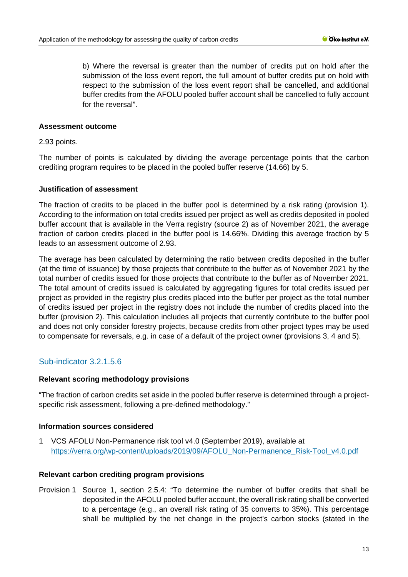b) Where the reversal is greater than the number of credits put on hold after the submission of the loss event report, the full amount of buffer credits put on hold with respect to the submission of the loss event report shall be cancelled, and additional buffer credits from the AFOLU pooled buffer account shall be cancelled to fully account for the reversal".

#### **Assessment outcome**

2.93 points.

The number of points is calculated by dividing the average percentage points that the carbon crediting program requires to be placed in the pooled buffer reserve (14.66) by 5.

## **Justification of assessment**

The fraction of credits to be placed in the buffer pool is determined by a risk rating (provision 1). According to the information on total credits issued per project as well as credits deposited in pooled buffer account that is available in the Verra registry (source 2) as of November 2021, the average fraction of carbon credits placed in the buffer pool is 14.66%. Dividing this average fraction by 5 leads to an assessment outcome of 2.93.

The average has been calculated by determining the ratio between credits deposited in the buffer (at the time of issuance) by those projects that contribute to the buffer as of November 2021 by the total number of credits issued for those projects that contribute to the buffer as of November 2021. The total amount of credits issued is calculated by aggregating figures for total credits issued per project as provided in the registry plus credits placed into the buffer per project as the total number of credits issued per project in the registry does not include the number of credits placed into the buffer (provision 2). This calculation includes all projects that currently contribute to the buffer pool and does not only consider forestry projects, because credits from other project types may be used to compensate for reversals, e.g. in case of a default of the project owner (provisions 3, 4 and 5).

# Sub-indicator 3.2.1.5.6

#### **Relevant scoring methodology provisions**

"The fraction of carbon credits set aside in the pooled buffer reserve is determined through a projectspecific risk assessment, following a pre-defined methodology."

#### **Information sources considered**

1 VCS AFOLU Non-Permanence risk tool v4.0 (September 2019), available at [https://verra.org/wp-content/uploads/2019/09/AFOLU\\_Non-Permanence\\_Risk-Tool\\_v4.0.pdf](https://verra.org/wp-content/uploads/2019/09/AFOLU_Non-Permanence_Risk-Tool_v4.0.pdf)

#### **Relevant carbon crediting program provisions**

Provision 1 Source 1, section 2.5.4: "To determine the number of buffer credits that shall be deposited in the AFOLU pooled buffer account, the overall risk rating shall be converted to a percentage (e.g., an overall risk rating of 35 converts to 35%). This percentage shall be multiplied by the net change in the project's carbon stocks (stated in the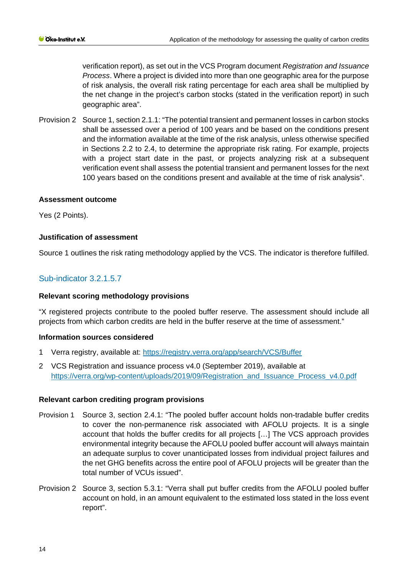verification report), as set out in the VCS Program document *Registration and Issuance Process*. Where a project is divided into more than one geographic area for the purpose of risk analysis, the overall risk rating percentage for each area shall be multiplied by the net change in the project's carbon stocks (stated in the verification report) in such geographic area".

Provision 2 Source 1, section 2.1.1: "The potential transient and permanent losses in carbon stocks shall be assessed over a period of 100 years and be based on the conditions present and the information available at the time of the risk analysis, unless otherwise specified in Sections 2.2 to 2.4, to determine the appropriate risk rating. For example, projects with a project start date in the past, or projects analyzing risk at a subsequent verification event shall assess the potential transient and permanent losses for the next 100 years based on the conditions present and available at the time of risk analysis".

## **Assessment outcome**

Yes (2 Points).

## **Justification of assessment**

Source 1 outlines the risk rating methodology applied by the VCS. The indicator is therefore fulfilled.

# Sub-indicator 3.2.1.5.7

## **Relevant scoring methodology provisions**

"X registered projects contribute to the pooled buffer reserve. The assessment should include all projects from which carbon credits are held in the buffer reserve at the time of assessment."

#### **Information sources considered**

- 1 Verra registry, available at:<https://registry.verra.org/app/search/VCS/Buffer>
- 2 VCS Registration and issuance process v4.0 (September 2019), available at [https://verra.org/wp-content/uploads/2019/09/Registration\\_and\\_Issuance\\_Process\\_v4.0.pdf](https://verra.org/wp-content/uploads/2019/09/Registration_and_Issuance_Process_v4.0.pdf)

#### **Relevant carbon crediting program provisions**

- Provision 1 Source 3, section 2.4.1: "The pooled buffer account holds non-tradable buffer credits to cover the non-permanence risk associated with AFOLU projects. It is a single account that holds the buffer credits for all projects […] The VCS approach provides environmental integrity because the AFOLU pooled buffer account will always maintain an adequate surplus to cover unanticipated losses from individual project failures and the net GHG benefits across the entire pool of AFOLU projects will be greater than the total number of VCUs issued".
- Provision 2 Source 3, section 5.3.1: "Verra shall put buffer credits from the AFOLU pooled buffer account on hold, in an amount equivalent to the estimated loss stated in the loss event report".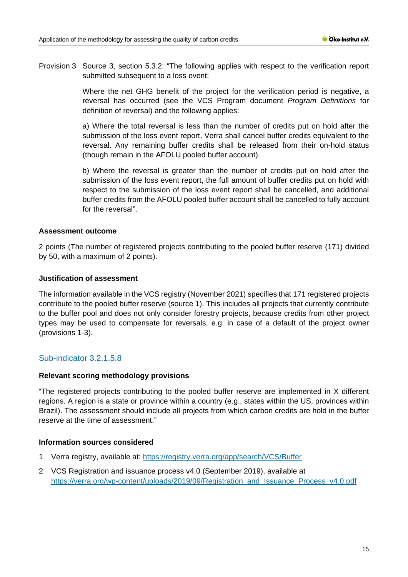Provision 3 Source 3, section 5.3.2: "The following applies with respect to the verification report submitted subsequent to a loss event:

> Where the net GHG benefit of the project for the verification period is negative, a reversal has occurred (see the VCS Program document *Program Definitions* for definition of reversal) and the following applies:

> a) Where the total reversal is less than the number of credits put on hold after the submission of the loss event report, Verra shall cancel buffer credits equivalent to the reversal. Any remaining buffer credits shall be released from their on-hold status (though remain in the AFOLU pooled buffer account).

> b) Where the reversal is greater than the number of credits put on hold after the submission of the loss event report, the full amount of buffer credits put on hold with respect to the submission of the loss event report shall be cancelled, and additional buffer credits from the AFOLU pooled buffer account shall be cancelled to fully account for the reversal".

## **Assessment outcome**

2 points (The number of registered projects contributing to the pooled buffer reserve (171) divided by 50, with a maximum of 2 points).

## **Justification of assessment**

The information available in the VCS registry (November 2021) specifies that 171 registered projects contribute to the pooled buffer reserve (source 1). This includes all projects that currently contribute to the buffer pool and does not only consider forestry projects, because credits from other project types may be used to compensate for reversals, e.g. in case of a default of the project owner (provisions 1-3).

## Sub-indicator 3.2.1.5.8

## **Relevant scoring methodology provisions**

"The registered projects contributing to the pooled buffer reserve are implemented in X different regions. A region is a state or province within a country (e.g., states within the US, provinces within Brazil). The assessment should include all projects from which carbon credits are hold in the buffer reserve at the time of assessment."

#### **Information sources considered**

- 1 Verra registry, available at:<https://registry.verra.org/app/search/VCS/Buffer>
- 2 VCS Registration and issuance process v4.0 (September 2019), available at [https://verra.org/wp-content/uploads/2019/09/Registration\\_and\\_Issuance\\_Process\\_v4.0.pdf](https://verra.org/wp-content/uploads/2019/09/Registration_and_Issuance_Process_v4.0.pdf)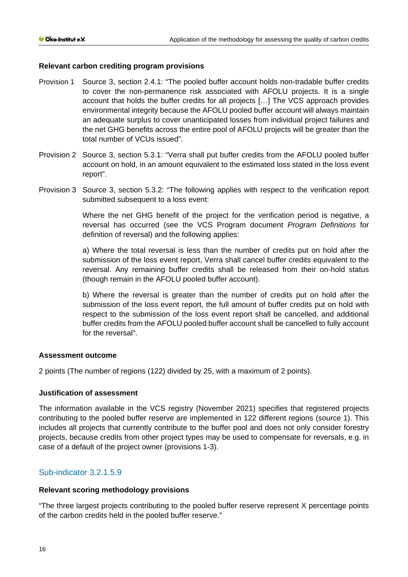## **Relevant carbon crediting program provisions**

- Provision 1 Source 3, section 2.4.1: "The pooled buffer account holds non-tradable buffer credits to cover the non-permanence risk associated with AFOLU projects. It is a single account that holds the buffer credits for all projects […] The VCS approach provides environmental integrity because the AFOLU pooled buffer account will always maintain an adequate surplus to cover unanticipated losses from individual project failures and the net GHG benefits across the entire pool of AFOLU projects will be greater than the total number of VCUs issued".
- Provision 2 Source 3, section 5.3.1: "Verra shall put buffer credits from the AFOLU pooled buffer account on hold, in an amount equivalent to the estimated loss stated in the loss event report".
- Provision 3 Source 3, section 5.3.2: "The following applies with respect to the verification report submitted subsequent to a loss event:

Where the net GHG benefit of the project for the verification period is negative, a reversal has occurred (see the VCS Program document *Program Definitions* for definition of reversal) and the following applies:

a) Where the total reversal is less than the number of credits put on hold after the submission of the loss event report, Verra shall cancel buffer credits equivalent to the reversal. Any remaining buffer credits shall be released from their on-hold status (though remain in the AFOLU pooled buffer account).

b) Where the reversal is greater than the number of credits put on hold after the submission of the loss event report, the full amount of buffer credits put on hold with respect to the submission of the loss event report shall be cancelled, and additional buffer credits from the AFOLU pooled buffer account shall be cancelled to fully account for the reversal".

#### **Assessment outcome**

2 points (The number of regions (122) divided by 25, with a maximum of 2 points).

#### **Justification of assessment**

The information available in the VCS registry (November 2021) specifies that registered projects contributing to the pooled buffer reserve are implemented in 122 different regions (source 1). This includes all projects that currently contribute to the buffer pool and does not only consider forestry projects, because credits from other project types may be used to compensate for reversals, e.g. in case of a default of the project owner (provisions 1-3).

## Sub-indicator 3.2.1.5.9

#### **Relevant scoring methodology provisions**

"The three largest projects contributing to the pooled buffer reserve represent X percentage points of the carbon credits held in the pooled buffer reserve."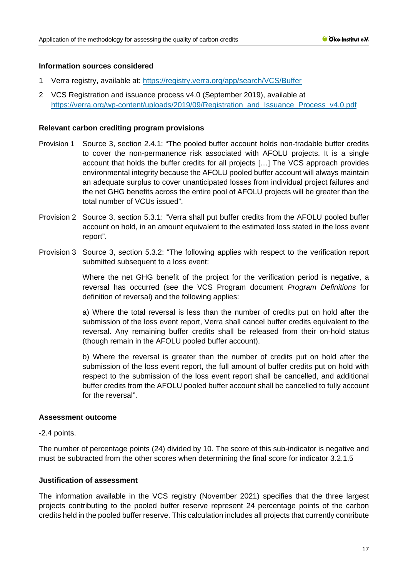## **Information sources considered**

- 1 Verra registry, available at:<https://registry.verra.org/app/search/VCS/Buffer>
- 2 VCS Registration and issuance process v4.0 (September 2019), available at [https://verra.org/wp-content/uploads/2019/09/Registration\\_and\\_Issuance\\_Process\\_v4.0.pdf](https://verra.org/wp-content/uploads/2019/09/Registration_and_Issuance_Process_v4.0.pdf)

## **Relevant carbon crediting program provisions**

- Provision 1 Source 3, section 2.4.1: "The pooled buffer account holds non-tradable buffer credits to cover the non-permanence risk associated with AFOLU projects. It is a single account that holds the buffer credits for all projects […] The VCS approach provides environmental integrity because the AFOLU pooled buffer account will always maintain an adequate surplus to cover unanticipated losses from individual project failures and the net GHG benefits across the entire pool of AFOLU projects will be greater than the total number of VCUs issued".
- Provision 2 Source 3, section 5.3.1: "Verra shall put buffer credits from the AFOLU pooled buffer account on hold, in an amount equivalent to the estimated loss stated in the loss event report".
- Provision 3 Source 3, section 5.3.2: "The following applies with respect to the verification report submitted subsequent to a loss event:

Where the net GHG benefit of the project for the verification period is negative, a reversal has occurred (see the VCS Program document *Program Definitions* for definition of reversal) and the following applies:

a) Where the total reversal is less than the number of credits put on hold after the submission of the loss event report, Verra shall cancel buffer credits equivalent to the reversal. Any remaining buffer credits shall be released from their on-hold status (though remain in the AFOLU pooled buffer account).

b) Where the reversal is greater than the number of credits put on hold after the submission of the loss event report, the full amount of buffer credits put on hold with respect to the submission of the loss event report shall be cancelled, and additional buffer credits from the AFOLU pooled buffer account shall be cancelled to fully account for the reversal".

#### **Assessment outcome**

-2.4 points.

The number of percentage points (24) divided by 10. The score of this sub-indicator is negative and must be subtracted from the other scores when determining the final score for indicator 3.2.1.5

## **Justification of assessment**

The information available in the VCS registry (November 2021) specifies that the three largest projects contributing to the pooled buffer reserve represent 24 percentage points of the carbon credits held in the pooled buffer reserve. This calculation includes all projects that currently contribute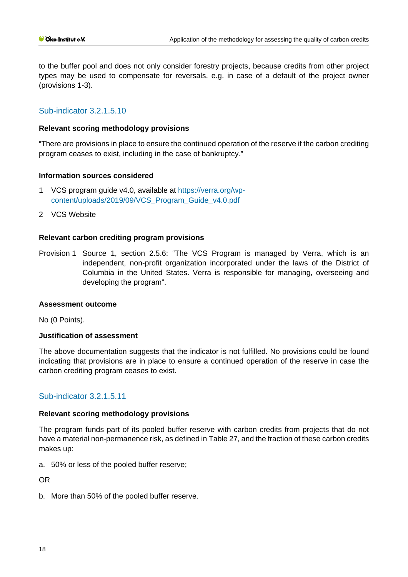to the buffer pool and does not only consider forestry projects, because credits from other project types may be used to compensate for reversals, e.g. in case of a default of the project owner (provisions 1-3).

# Sub-indicator 3.2.1.5.10

## **Relevant scoring methodology provisions**

"There are provisions in place to ensure the continued operation of the reserve if the carbon crediting program ceases to exist, including in the case of bankruptcy."

## **Information sources considered**

- 1 VCS program guide v4.0, available at [https://verra.org/wp](https://verra.org/wp-content/uploads/2019/09/VCS_Program_Guide_v4.0.pdf)[content/uploads/2019/09/VCS\\_Program\\_Guide\\_v4.0.pdf](https://verra.org/wp-content/uploads/2019/09/VCS_Program_Guide_v4.0.pdf)
- 2 VCS Website

## **Relevant carbon crediting program provisions**

Provision 1 Source 1, section 2.5.6: "The VCS Program is managed by Verra, which is an independent, non-profit organization incorporated under the laws of the District of Columbia in the United States. Verra is responsible for managing, overseeing and developing the program".

#### **Assessment outcome**

No (0 Points).

#### **Justification of assessment**

The above documentation suggests that the indicator is not fulfilled. No provisions could be found indicating that provisions are in place to ensure a continued operation of the reserve in case the carbon crediting program ceases to exist.

## Sub-indicator 3.2.1.5.11

#### **Relevant scoring methodology provisions**

The program funds part of its pooled buffer reserve with carbon credits from projects that do not have a material non-permanence risk, as defined in Table 27, and the fraction of these carbon credits makes up:

a. 50% or less of the pooled buffer reserve;

OR

b. More than 50% of the pooled buffer reserve.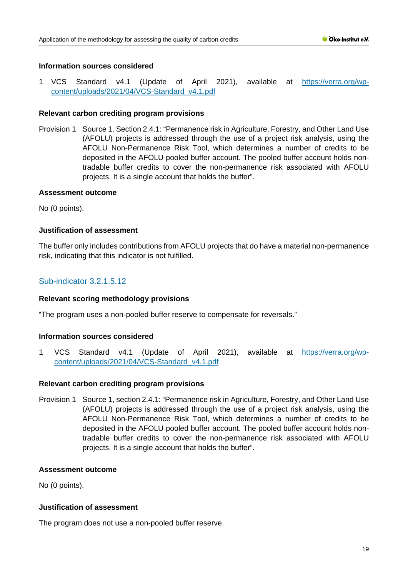## **Information sources considered**

1 VCS Standard v4.1 (Update of April 2021), available at [https://verra.org/wp](https://verra.org/wp-content/uploads/2021/04/VCS-Standard_v4.1.pdf)[content/uploads/2021/04/VCS-Standard\\_v4.1.pdf](https://verra.org/wp-content/uploads/2021/04/VCS-Standard_v4.1.pdf) 

## **Relevant carbon crediting program provisions**

Provision 1 Source 1. Section 2.4.1: "Permanence risk in Agriculture, Forestry, and Other Land Use (AFOLU) projects is addressed through the use of a project risk analysis, using the AFOLU Non-Permanence Risk Tool, which determines a number of credits to be deposited in the AFOLU pooled buffer account. The pooled buffer account holds nontradable buffer credits to cover the non-permanence risk associated with AFOLU projects. It is a single account that holds the buffer".

#### **Assessment outcome**

No (0 points).

## **Justification of assessment**

The buffer only includes contributions from AFOLU projects that do have a material non-permanence risk, indicating that this indicator is not fulfilled.

## Sub-indicator 3.2.1.5.12

## **Relevant scoring methodology provisions**

"The program uses a non-pooled buffer reserve to compensate for reversals."

## **Information sources considered**

1 VCS Standard v4.1 (Update of April 2021), available at [https://verra.org/wp](https://verra.org/wp-content/uploads/2021/04/VCS-Standard_v4.1.pdf)[content/uploads/2021/04/VCS-Standard\\_v4.1.pdf](https://verra.org/wp-content/uploads/2021/04/VCS-Standard_v4.1.pdf) 

#### **Relevant carbon crediting program provisions**

Provision 1 Source 1, section 2.4.1: "Permanence risk in Agriculture, Forestry, and Other Land Use (AFOLU) projects is addressed through the use of a project risk analysis, using the AFOLU Non-Permanence Risk Tool, which determines a number of credits to be deposited in the AFOLU pooled buffer account. The pooled buffer account holds nontradable buffer credits to cover the non-permanence risk associated with AFOLU projects. It is a single account that holds the buffer".

#### **Assessment outcome**

No (0 points).

#### **Justification of assessment**

The program does not use a non-pooled buffer reserve.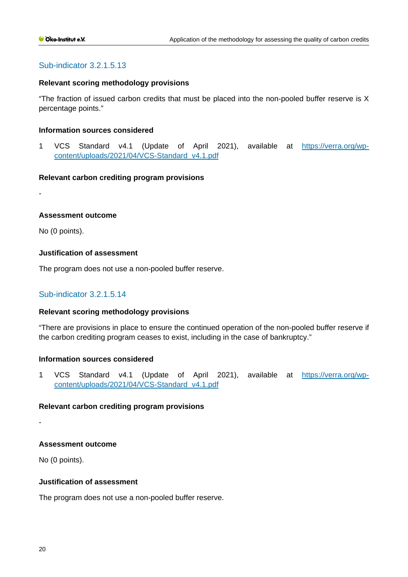## Sub-indicator 3.2.1.5.13

#### **Relevant scoring methodology provisions**

"The fraction of issued carbon credits that must be placed into the non-pooled buffer reserve is X percentage points."

#### **Information sources considered**

1 VCS Standard v4.1 (Update of April 2021), available at [https://verra.org/wp](https://verra.org/wp-content/uploads/2021/04/VCS-Standard_v4.1.pdf)[content/uploads/2021/04/VCS-Standard\\_v4.1.pdf](https://verra.org/wp-content/uploads/2021/04/VCS-Standard_v4.1.pdf) 

#### **Relevant carbon crediting program provisions**

-

#### **Assessment outcome**

No (0 points).

## **Justification of assessment**

The program does not use a non-pooled buffer reserve.

#### Sub-indicator 3.2.1.5.14

#### **Relevant scoring methodology provisions**

"There are provisions in place to ensure the continued operation of the non-pooled buffer reserve if the carbon crediting program ceases to exist, including in the case of bankruptcy."

#### **Information sources considered**

1 VCS Standard v4.1 (Update of April 2021), available at [https://verra.org/wp](https://verra.org/wp-content/uploads/2021/04/VCS-Standard_v4.1.pdf)[content/uploads/2021/04/VCS-Standard\\_v4.1.pdf](https://verra.org/wp-content/uploads/2021/04/VCS-Standard_v4.1.pdf) 

#### **Relevant carbon crediting program provisions**

-

#### **Assessment outcome**

No (0 points).

#### **Justification of assessment**

The program does not use a non-pooled buffer reserve.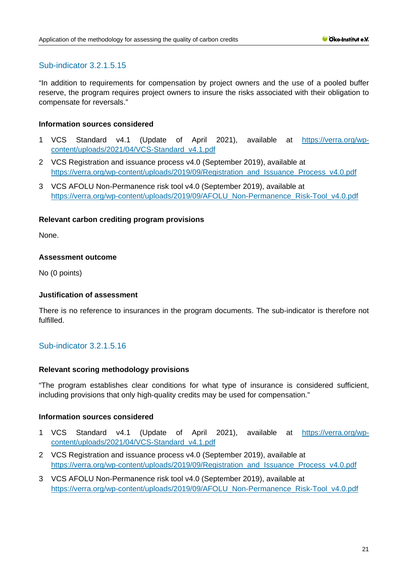# Sub-indicator 3.2.1.5.15

"In addition to requirements for compensation by project owners and the use of a pooled buffer reserve, the program requires project owners to insure the risks associated with their obligation to compensate for reversals."

## **Information sources considered**

- 1 VCS Standard v4.1 (Update of April 2021), available at [https://verra.org/wp](https://verra.org/wp-content/uploads/2021/04/VCS-Standard_v4.1.pdf)[content/uploads/2021/04/VCS-Standard\\_v4.1.pdf](https://verra.org/wp-content/uploads/2021/04/VCS-Standard_v4.1.pdf)
- 2 VCS Registration and issuance process v4.0 (September 2019), available at [https://verra.org/wp-content/uploads/2019/09/Registration\\_and\\_Issuance\\_Process\\_v4.0.pdf](https://verra.org/wp-content/uploads/2019/09/Registration_and_Issuance_Process_v4.0.pdf)
- 3 VCS AFOLU Non-Permanence risk tool v4.0 (September 2019), available at [https://verra.org/wp-content/uploads/2019/09/AFOLU\\_Non-Permanence\\_Risk-Tool\\_v4.0.pdf](https://verra.org/wp-content/uploads/2019/09/AFOLU_Non-Permanence_Risk-Tool_v4.0.pdf)

## **Relevant carbon crediting program provisions**

None.

## **Assessment outcome**

No (0 points)

## **Justification of assessment**

There is no reference to insurances in the program documents. The sub-indicator is therefore not fulfilled.

## Sub-indicator 3.2.1.5.16

#### **Relevant scoring methodology provisions**

"The program establishes clear conditions for what type of insurance is considered sufficient, including provisions that only high-quality credits may be used for compensation."

## **Information sources considered**

- 1 VCS Standard v4.1 (Update of April 2021), available at [https://verra.org/wp](https://verra.org/wp-content/uploads/2021/04/VCS-Standard_v4.1.pdf)[content/uploads/2021/04/VCS-Standard\\_v4.1.pdf](https://verra.org/wp-content/uploads/2021/04/VCS-Standard_v4.1.pdf)
- 2 VCS Registration and issuance process v4.0 (September 2019), available at [https://verra.org/wp-content/uploads/2019/09/Registration\\_and\\_Issuance\\_Process\\_v4.0.pdf](https://verra.org/wp-content/uploads/2019/09/Registration_and_Issuance_Process_v4.0.pdf)
- 3 VCS AFOLU Non-Permanence risk tool v4.0 (September 2019), available at [https://verra.org/wp-content/uploads/2019/09/AFOLU\\_Non-Permanence\\_Risk-Tool\\_v4.0.pdf](https://verra.org/wp-content/uploads/2019/09/AFOLU_Non-Permanence_Risk-Tool_v4.0.pdf)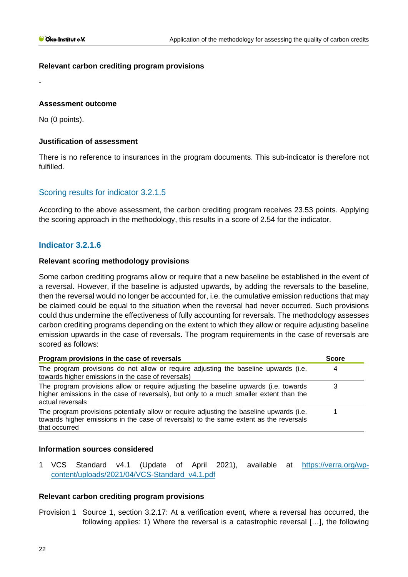## **Relevant carbon crediting program provisions**

## **Assessment outcome**

No (0 points).

-

## **Justification of assessment**

There is no reference to insurances in the program documents. This sub-indicator is therefore not fulfilled.

# Scoring results for indicator 3.2.1.5

According to the above assessment, the carbon crediting program receives 23.53 points. Applying the scoring approach in the methodology, this results in a score of 2.54 for the indicator.

## **Indicator 3.2.1.6**

## **Relevant scoring methodology provisions**

Some carbon crediting programs allow or require that a new baseline be established in the event of a reversal. However, if the baseline is adjusted upwards, by adding the reversals to the baseline, then the reversal would no longer be accounted for, i.e. the cumulative emission reductions that may be claimed could be equal to the situation when the reversal had never occurred. Such provisions could thus undermine the effectiveness of fully accounting for reversals. The methodology assesses carbon crediting programs depending on the extent to which they allow or require adjusting baseline emission upwards in the case of reversals. The program requirements in the case of reversals are scored as follows:

| Program provisions in the case of reversals                                                                                                                                                         |  |
|-----------------------------------------------------------------------------------------------------------------------------------------------------------------------------------------------------|--|
| The program provisions do not allow or require adjusting the baseline upwards (i.e.<br>towards higher emissions in the case of reversals)                                                           |  |
| The program provisions allow or require adjusting the baseline upwards (i.e. towards<br>higher emissions in the case of reversals), but only to a much smaller extent than the<br>actual reversals  |  |
| The program provisions potentially allow or require adjusting the baseline upwards (i.e.<br>towards higher emissions in the case of reversals) to the same extent as the reversals<br>that occurred |  |

#### **Information sources considered**

1 VCS Standard v4.1 (Update of April 2021), available at [https://verra.org/wp](https://verra.org/wp-content/uploads/2021/04/VCS-Standard_v4.1.pdf)[content/uploads/2021/04/VCS-Standard\\_v4.1.pdf](https://verra.org/wp-content/uploads/2021/04/VCS-Standard_v4.1.pdf) 

#### **Relevant carbon crediting program provisions**

Provision 1 Source 1, section 3.2.17: At a verification event, where a reversal has occurred, the following applies: 1) Where the reversal is a catastrophic reversal […], the following